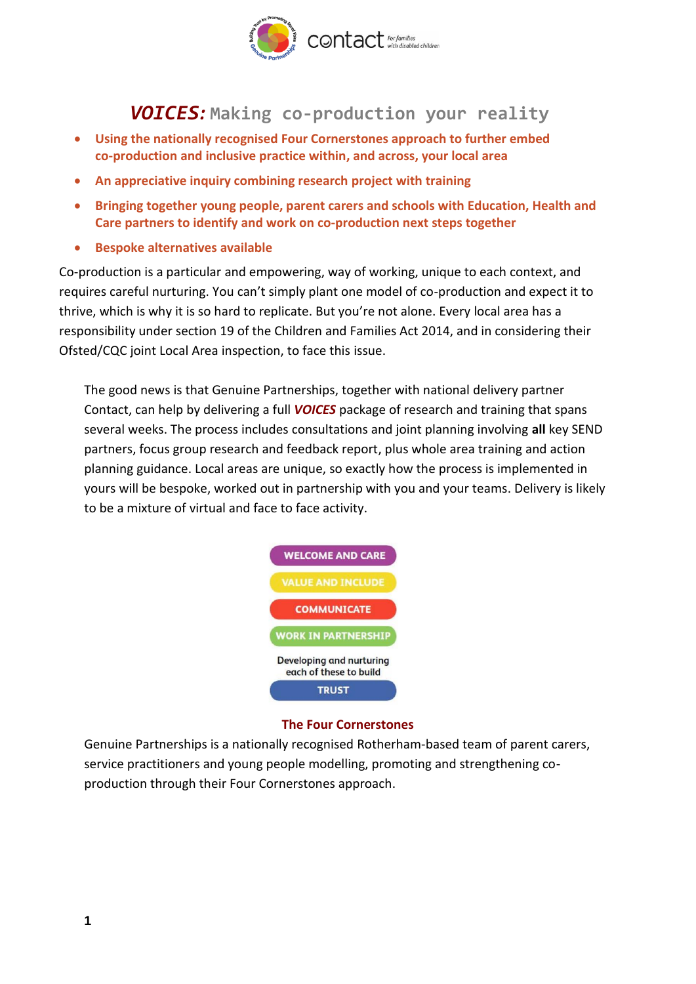

## *VOICES:* **Making co-production your reality**

- **Using the nationally recognised Four Cornerstones approach to further embed co-production and inclusive practice within, and across, your local area**
- **An appreciative inquiry combining research project with training**
- **Bringing together young people, parent carers and schools with Education, Health and Care partners to identify and work on co-production next steps together**
- **Bespoke alternatives available**

Co-production is a particular and empowering, way of working, unique to each context, and requires careful nurturing. You can't simply plant one model of co-production and expect it to thrive, which is why it is so hard to replicate. But you're not alone. Every local area has a responsibility under section 19 of the Children and Families Act 2014, and in considering their Ofsted/CQC joint Local Area inspection, to face this issue.

The good news is that Genuine Partnerships, together with national delivery partner Contact, can help by delivering a full *VOICES* package of research and training that spans several weeks. The process includes consultations and joint planning involving **all** key SEND partners, focus group research and feedback report, plus whole area training and action planning guidance. Local areas are unique, so exactly how the process is implemented in yours will be bespoke, worked out in partnership with you and your teams. Delivery is likely to be a mixture of virtual and face to face activity.



## **The Four Cornerstones**

Genuine Partnerships is a nationally recognised Rotherham-based team of parent carers, service practitioners and young people modelling, promoting and strengthening coproduction through their Four Cornerstones approach.